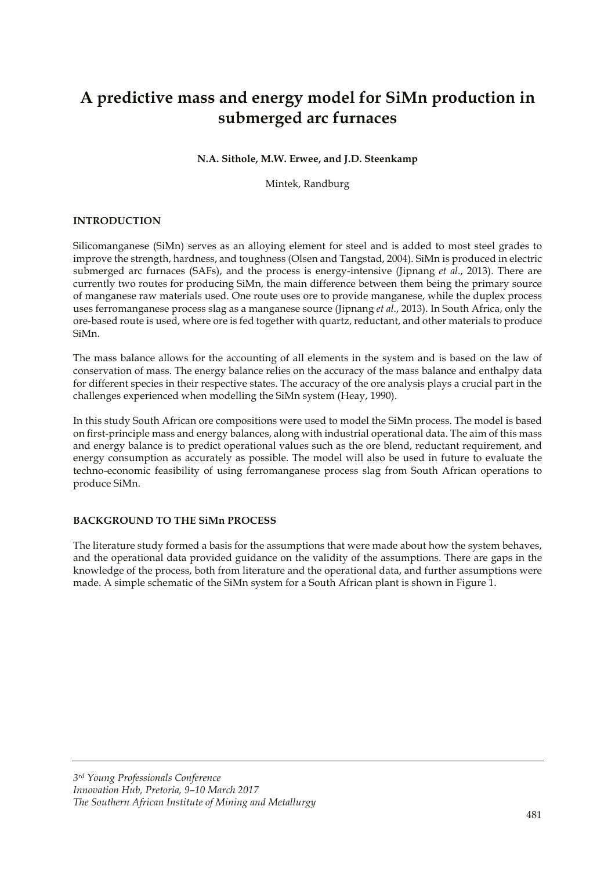# **A predictive mass and energy model for SiMn production in submerged arc furnaces**

## **N.A. Sithole, M.W. Erwee, and J.D. Steenkamp**

Mintek, Randburg

## **INTRODUCTION**

Silicomanganese (SiMn) serves as an alloying element for steel and is added to most steel grades to improve the strength, hardness, and toughness (Olsen and Tangstad, 2004). SiMn is produced in electric submerged arc furnaces (SAFs), and the process is energy-intensive (Jipnang *et al*., 2013). There are currently two routes for producing SiMn, the main difference between them being the primary source of manganese raw materials used. One route uses ore to provide manganese, while the duplex process uses ferromanganese process slag as a manganese source (Jipnang *et al*., 2013). In South Africa, only the ore-based route is used, where ore is fed together with quartz, reductant, and other materials to produce SiMn.

The mass balance allows for the accounting of all elements in the system and is based on the law of conservation of mass. The energy balance relies on the accuracy of the mass balance and enthalpy data for different species in their respective states. The accuracy of the ore analysis plays a crucial part in the challenges experienced when modelling the SiMn system (Heay, 1990).

In this study South African ore compositions were used to model the SiMn process. The model is based on first-principle mass and energy balances, along with industrial operational data. The aim of this mass and energy balance is to predict operational values such as the ore blend, reductant requirement, and energy consumption as accurately as possible. The model will also be used in future to evaluate the techno-economic feasibility of using ferromanganese process slag from South African operations to produce SiMn.

# **BACKGROUND TO THE SiMn PROCESS**

The literature study formed a basis for the assumptions that were made about how the system behaves, and the operational data provided guidance on the validity of the assumptions. There are gaps in the knowledge of the process, both from literature and the operational data, and further assumptions were made. A simple schematic of the SiMn system for a South African plant is shown in Figure 1.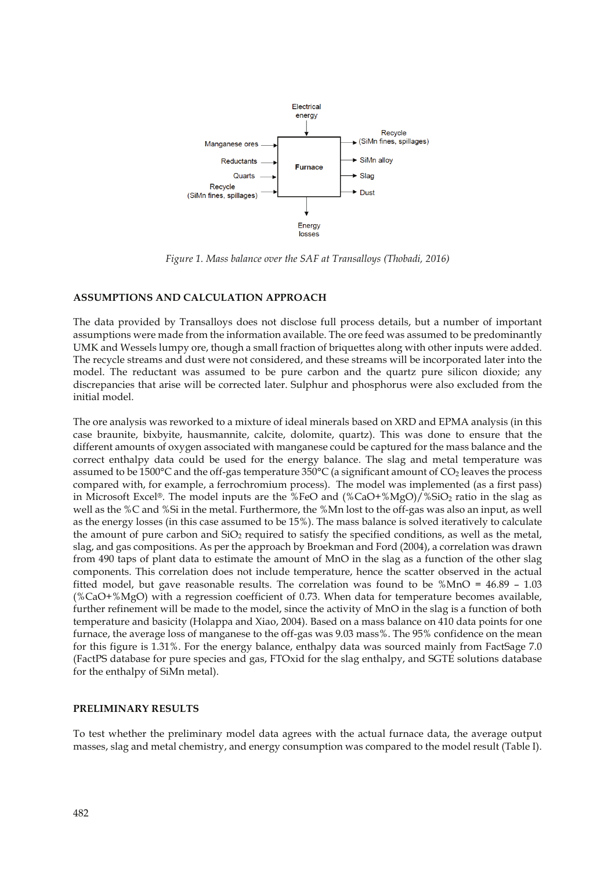

*Figure 1. Mass balance over the SAF at Transalloys (Thobadi, 2016)* 

## **ASSUMPTIONS AND CALCULATION APPROACH**

The data provided by Transalloys does not disclose full process details, but a number of important assumptions were made from the information available. The ore feed was assumed to be predominantly UMK and Wessels lumpy ore, though a small fraction of briquettes along with other inputs were added. The recycle streams and dust were not considered, and these streams will be incorporated later into the model. The reductant was assumed to be pure carbon and the quartz pure silicon dioxide; any discrepancies that arise will be corrected later. Sulphur and phosphorus were also excluded from the initial model.

The ore analysis was reworked to a mixture of ideal minerals based on XRD and EPMA analysis (in this case braunite, bixbyite, hausmannite, calcite, dolomite, quartz). This was done to ensure that the different amounts of oxygen associated with manganese could be captured for the mass balance and the correct enthalpy data could be used for the energy balance. The slag and metal temperature was assumed to be 1500 $\degree$ C and the off-gas temperature 350 $\degree$ C (a significant amount of CO<sub>2</sub> leaves the process compared with, for example, a ferrochromium process). The model was implemented (as a first pass) in Microsoft Excel®. The model inputs are the %FeO and (%CaO+%MgO)/%SiO2 ratio in the slag as well as the %C and %Si in the metal. Furthermore, the %Mn lost to the off-gas was also an input, as well as the energy losses (in this case assumed to be 15%). The mass balance is solved iteratively to calculate the amount of pure carbon and  $SiO<sub>2</sub>$  required to satisfy the specified conditions, as well as the metal, slag, and gas compositions. As per the approach by Broekman and Ford (2004), a correlation was drawn from 490 taps of plant data to estimate the amount of MnO in the slag as a function of the other slag components. This correlation does not include temperature, hence the scatter observed in the actual fitted model, but gave reasonable results. The correlation was found to be %MnO = 46.89 – 1.03 (%CaO+%MgO) with a regression coefficient of 0.73. When data for temperature becomes available, further refinement will be made to the model, since the activity of MnO in the slag is a function of both temperature and basicity (Holappa and Xiao, 2004). Based on a mass balance on 410 data points for one furnace, the average loss of manganese to the off-gas was 9.03 mass%. The 95% confidence on the mean for this figure is 1.31%. For the energy balance, enthalpy data was sourced mainly from FactSage 7.0 (FactPS database for pure species and gas, FTOxid for the slag enthalpy, and SGTE solutions database for the enthalpy of SiMn metal).

## **PRELIMINARY RESULTS**

To test whether the preliminary model data agrees with the actual furnace data, the average output masses, slag and metal chemistry, and energy consumption was compared to the model result (Table I).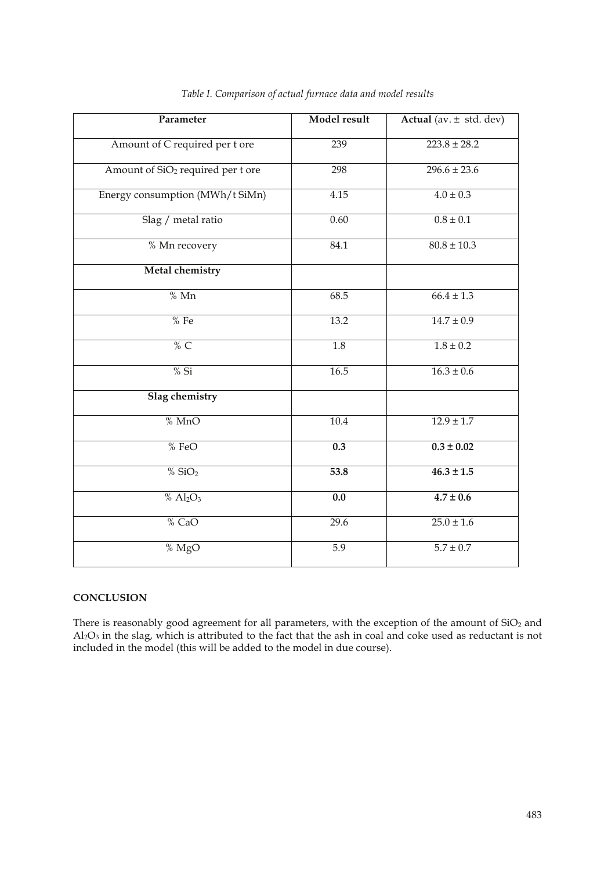| Parameter                                     | Model result     | Actual (av. ± std. dev) |
|-----------------------------------------------|------------------|-------------------------|
| Amount of C required per t ore                | 239              | $223.8 \pm 28.2$        |
| Amount of SiO <sub>2</sub> required per t ore | 298              | $296.6 \pm 23.6$        |
| Energy consumption (MWh/t SiMn)               | 4.15             | $4.0 \pm 0.3$           |
| Slag / metal ratio                            | 0.60             | $0.8 \pm 0.1$           |
| % Mn recovery                                 | 84.1             | $80.8 \pm 10.3$         |
| Metal chemistry                               |                  |                         |
| % Mn                                          | 68.5             | $66.4 \pm 1.3$          |
| %Fe                                           | 13.2             | $14.7 \pm 0.9$          |
| % $C$                                         | $\overline{1.8}$ | $1.8 \pm 0.2$           |
| $%$ Si                                        | 16.5             | $16.3 \pm 0.6$          |
| <b>Slag chemistry</b>                         |                  |                         |
| % MnO                                         | 10.4             | $12.9 \pm 1.7$          |
| % FeO                                         | 0.3              | $0.3 \pm 0.02$          |
| % SiO <sub>2</sub>                            | 53.8             | $46.3 \pm 1.5$          |
| % $Al_2O_3$                                   | $\overline{0.0}$ | $4.7 \pm 0.6$           |
| % CaO                                         | 29.6             | $25.0 \pm 1.6$          |
| % MgO                                         | 5.9              | $5.7 \pm 0.7$           |

# *Table I. Comparison of actual furnace data and model results*

## **CONCLUSION**

There is reasonably good agreement for all parameters, with the exception of the amount of  $SiO<sub>2</sub>$  and Al2O3 in the slag, which is attributed to the fact that the ash in coal and coke used as reductant is not included in the model (this will be added to the model in due course).